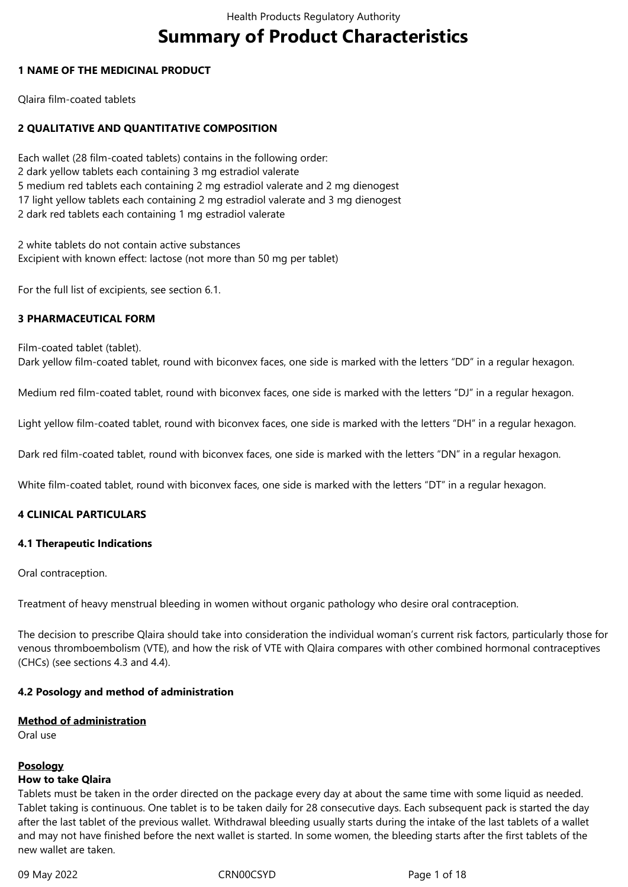# **Summary of Product Characteristics**

## **1 NAME OF THE MEDICINAL PRODUCT**

Qlaira film-coated tablets

# **2 QUALITATIVE AND QUANTITATIVE COMPOSITION**

Each wallet (28 film-coated tablets) contains in the following order: 2 dark yellow tablets each containing 3 mg estradiol valerate 5 medium red tablets each containing 2 mg estradiol valerate and 2 mg dienogest 17 light yellow tablets each containing 2 mg estradiol valerate and 3 mg dienogest 2 dark red tablets each containing 1 mg estradiol valerate

2 white tablets do not contain active substances Excipient with known effect: lactose (not more than 50 mg per tablet)

For the full list of excipients, see section 6.1.

#### **3 PHARMACEUTICAL FORM**

Film-coated tablet (tablet). Dark yellow film-coated tablet, round with biconvex faces, one side is marked with the letters "DD" in a regular hexagon.

Medium red film-coated tablet, round with biconvex faces, one side is marked with the letters "DJ" in a regular hexagon.

Light yellow film-coated tablet, round with biconvex faces, one side is marked with the letters "DH" in a regular hexagon.

Dark red film-coated tablet, round with biconvex faces, one side is marked with the letters "DN" in a regular hexagon.

White film-coated tablet, round with biconvex faces, one side is marked with the letters "DT" in a regular hexagon.

#### **4 CLINICAL PARTICULARS**

#### **4.1 Therapeutic Indications**

Oral contraception.

Treatment of heavy menstrual bleeding in women without organic pathology who desire oral contraception.

The decision to prescribe Qlaira should take into consideration the individual woman's current risk factors, particularly those for venous thromboembolism (VTE), and how the risk of VTE with Qlaira compares with other combined hormonal contraceptives (CHCs) (see sections 4.3 and 4.4).

#### **4.2 Posology and method of administration**

#### **Method of administration**

Oral use

#### **Posology**

#### **How to take Qlaira**

Tablets must be taken in the order directed on the package every day at about the same time with some liquid as needed. Tablet taking is continuous. One tablet is to be taken daily for 28 consecutive days. Each subsequent pack is started the day after the last tablet of the previous wallet. Withdrawal bleeding usually starts during the intake of the last tablets of a wallet and may not have finished before the next wallet is started. In some women, the bleeding starts after the first tablets of the new wallet are taken.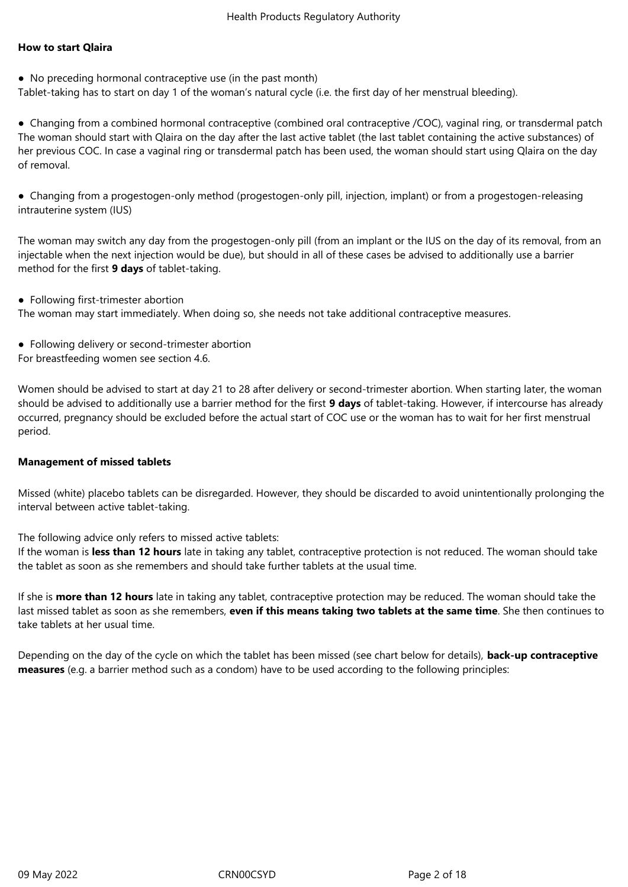## **How to start Qlaira**

● No preceding hormonal contraceptive use (in the past month)

Tablet-taking has to start on day 1 of the woman's natural cycle (i.e. the first day of her menstrual bleeding).

● Changing from a combined hormonal contraceptive (combined oral contraceptive /COC), vaginal ring, or transdermal patch The woman should start with Qlaira on the day after the last active tablet (the last tablet containing the active substances) of her previous COC. In case a vaginal ring or transdermal patch has been used, the woman should start using Qlaira on the day of removal.

● Changing from a progestogen-only method (progestogen-only pill, injection, implant) or from a progestogen-releasing intrauterine system (IUS)

The woman may switch any day from the progestogen-only pill (from an implant or the IUS on the day of its removal, from an injectable when the next injection would be due), but should in all of these cases be advised to additionally use a barrier method for the first **9 days** of tablet-taking.

● Following first-trimester abortion

The woman may start immediately. When doing so, she needs not take additional contraceptive measures.

- Following delivery or second-trimester abortion
- For breastfeeding women see section 4.6.

Women should be advised to start at day 21 to 28 after delivery or second-trimester abortion. When starting later, the woman should be advised to additionally use a barrier method for the first **9 days** of tablet-taking. However, if intercourse has already occurred, pregnancy should be excluded before the actual start of COC use or the woman has to wait for her first menstrual period.

#### **Management of missed tablets**

Missed (white) placebo tablets can be disregarded. However, they should be discarded to avoid unintentionally prolonging the interval between active tablet-taking.

The following advice only refers to missed active tablets:

If the woman is **less than 12 hours** late in taking any tablet, contraceptive protection is not reduced. The woman should take the tablet as soon as she remembers and should take further tablets at the usual time.

If she is **more than 12 hours** late in taking any tablet, contraceptive protection may be reduced. The woman should take the last missed tablet as soon as she remembers, **even if this means taking two tablets at the same time**. She then continues to take tablets at her usual time.

Depending on the day of the cycle on which the tablet has been missed (see chart below for details), **back-up contraceptive measures** (e.g. a barrier method such as a condom) have to be used according to the following principles: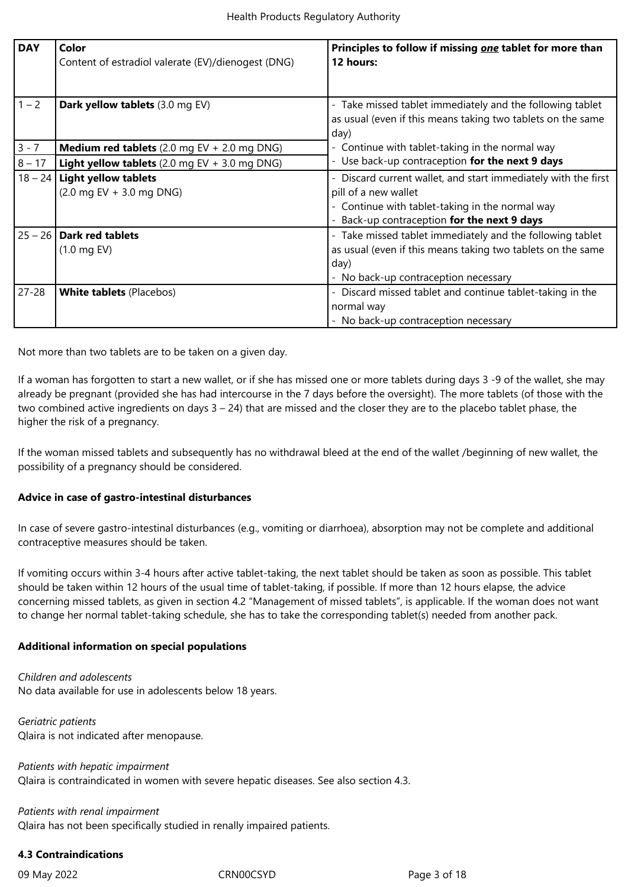| <b>DAY</b> | Color<br>Content of estradiol valerate (EV)/dienogest (DNG)                  | Principles to follow if missing one tablet for more than<br>12 hours:                                                                                                                |
|------------|------------------------------------------------------------------------------|--------------------------------------------------------------------------------------------------------------------------------------------------------------------------------------|
| $1 - 2$    | Dark yellow tablets (3.0 mg EV)                                              | - Take missed tablet immediately and the following tablet<br>as usual (even if this means taking two tablets on the same<br>day)                                                     |
| $3 - 7$    | <b>Medium red tablets</b> $(2.0 \text{ mg EV} + 2.0 \text{ mg DNS})$         | - Continue with tablet-taking in the normal way                                                                                                                                      |
| $8 - 17$   | <b>Light yellow tablets</b> (2.0 mg EV $+$ 3.0 mg DNG)                       | - Use back-up contraception for the next 9 days                                                                                                                                      |
|            | $18 - 24$ Light yellow tablets<br>$(2.0 \text{ mg EV} + 3.0 \text{ mg DNS})$ | Discard current wallet, and start immediately with the first<br>pill of a new wallet<br>- Continue with tablet-taking in the normal way<br>Back-up contraception for the next 9 days |
|            | $25 - 26$ Dark red tablets<br>$(1.0 \text{ mg EV})$                          | - Take missed tablet immediately and the following tablet<br>as usual (even if this means taking two tablets on the same<br>day)<br>- No back-up contraception necessary             |
| $27 - 28$  | <b>White tablets (Placebos)</b>                                              | - Discard missed tablet and continue tablet-taking in the<br>normal way<br>- No back-up contraception necessary                                                                      |

Not more than two tablets are to be taken on a given day.

If a woman has forgotten to start a new wallet, or if she has missed one or more tablets during days 3 -9 of the wallet, she may already be pregnant (provided she has had intercourse in the 7 days before the oversight). The more tablets (of those with the two combined active ingredients on days  $3 - 24$ ) that are missed and the closer they are to the placebo tablet phase, the higher the risk of a pregnancy.

If the woman missed tablets and subsequently has no withdrawal bleed at the end of the wallet /beginning of new wallet, the possibility of a pregnancy should be considered.

#### **Advice in case of gastro-intestinal disturbances**

In case of severe gastro-intestinal disturbances (e.g., vomiting or diarrhoea), absorption may not be complete and additional contraceptive measures should be taken.

If vomiting occurs within 3-4 hours after active tablet-taking, the next tablet should be taken as soon as possible. This tablet should be taken within 12 hours of the usual time of tablet-taking, if possible. If more than 12 hours elapse, the advice concerning missed tablets, as given in section 4.2 "Management of missed tablets", is applicable. If the woman does not want to change her normal tablet-taking schedule*,* she has to take the corresponding tablet(s) needed from another pack.

#### **Additional information on special populations**

*Children and adolescents* No data available for use in adolescents below 18 years.

*Geriatric patients* Qlaira is not indicated after menopause.

*Patients with hepatic impairment* Qlaira is contraindicated in women with severe hepatic diseases. See also section 4.3.

#### *Patients with renal impairment*

Qlaira has not been specifically studied in renally impaired patients.

#### **4.3 Contraindications**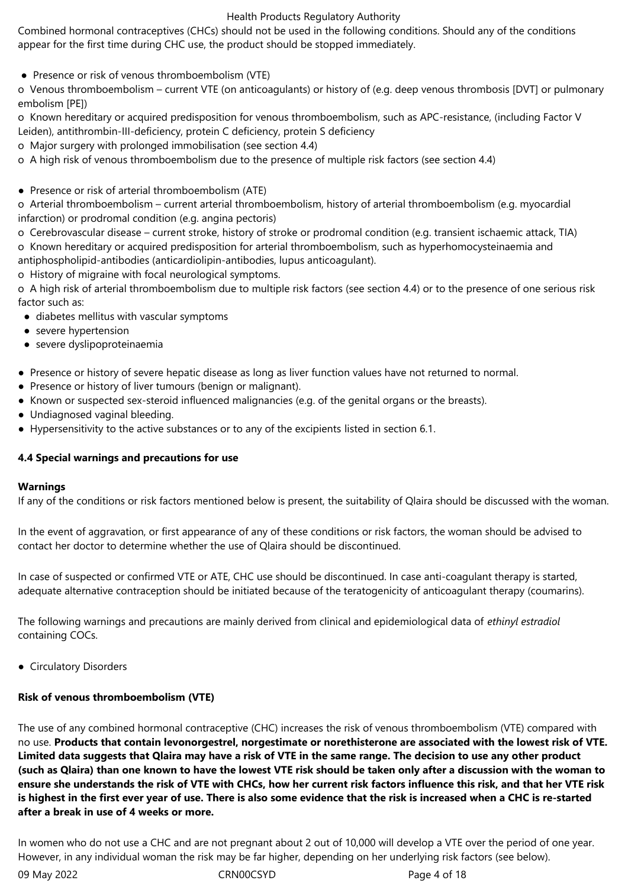Combined hormonal contraceptives (CHCs) should not be used in the following conditions. Should any of the conditions appear for the first time during CHC use, the product should be stopped immediately.

• Presence or risk of venous thromboembolism (VTE)

o Venous thromboembolism – current VTE (on anticoagulants) or history of (e.g. deep venous thrombosis [DVT] or pulmonary embolism [PE])

o Known hereditary or acquired predisposition for venous thromboembolism, such as APC-resistance, (including Factor V Leiden), antithrombin-III-deficiency, protein C deficiency, protein S deficiency

o Major surgery with prolonged immobilisation (see section 4.4)

o A high risk of venous thromboembolism due to the presence of multiple risk factors (see section 4.4)

● Presence or risk of arterial thromboembolism (ATE)

o Arterial thromboembolism – current arterial thromboembolism, history of arterial thromboembolism (e.g. myocardial infarction) or prodromal condition (e.g. angina pectoris)

o Cerebrovascular disease – current stroke, history of stroke or prodromal condition (e.g. transient ischaemic attack, TIA)

o Known hereditary or acquired predisposition for arterial thromboembolism, such as hyperhomocysteinaemia and antiphospholipid-antibodies (anticardiolipin-antibodies, lupus anticoagulant).

o History of migraine with focal neurological symptoms.

o A high risk of arterial thromboembolism due to multiple risk factors (see section 4.4) or to the presence of one serious risk factor such as:

- diabetes mellitus with vascular symptoms
- severe hypertension
- severe dyslipoproteinaemia
- Presence or history of severe hepatic disease as long as liver function values have not returned to normal.
- Presence or history of liver tumours (benign or malignant).
- Known or suspected sex-steroid influenced malignancies (e.g. of the genital organs or the breasts).
- Undiagnosed vaginal bleeding.
- Hypersensitivity to the active substances or to any of the excipients listed in section 6.1.

#### **4.4 Special warnings and precautions for use**

#### **Warnings**

If any of the conditions or risk factors mentioned below is present, the suitability of Qlaira should be discussed with the woman.

In the event of aggravation, or first appearance of any of these conditions or risk factors, the woman should be advised to contact her doctor to determine whether the use of Qlaira should be discontinued.

In case of suspected or confirmed VTE or ATE, CHC use should be discontinued. In case anti-coagulant therapy is started, adequate alternative contraception should be initiated because of the teratogenicity of anticoagulant therapy (coumarins).

The following warnings and precautions are mainly derived from clinical and epidemiological data of *ethinyl estradiol* containing COCs.

● Circulatory Disorders

#### **Risk of venous thromboembolism (VTE)**

The use of any combined hormonal contraceptive (CHC) increases the risk of venous thromboembolism (VTE) compared with no use. **Products that contain levonorgestrel, norgestimate or norethisterone are associated with the lowest risk of VTE. Limited data suggests that Qlaira may have a risk of VTE in the same range. The decision to use any other product (such as Qlaira) than one known to have the lowest VTE risk should be taken only after a discussion with the woman to ensure she understands the risk of VTE with CHCs, how her current risk factors influence this risk, and that her VTE risk is highest in the first ever year of use. There is also some evidence that the risk is increased when a CHC is re-started after a break in use of 4 weeks or more.**

In women who do not use a CHC and are not pregnant about 2 out of 10,000 will develop a VTE over the period of one year. However, in any individual woman the risk may be far higher, depending on her underlying risk factors (see below).

09 May 2022 CRN00CSYD CRNOOCSYD Page 4 of 18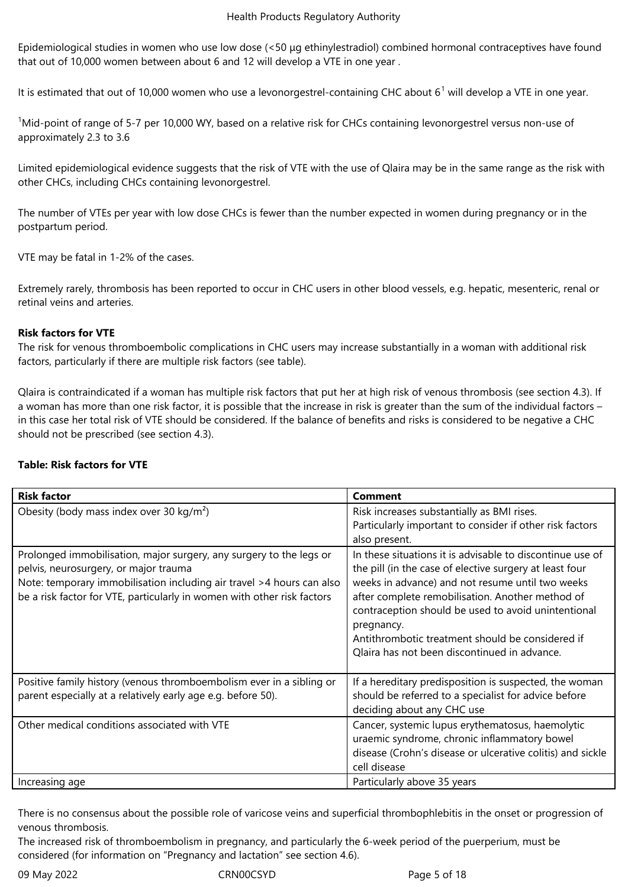Epidemiological studies in women who use low dose (<50 μg ethinylestradiol) combined hormonal contraceptives have found that out of 10,000 women between about 6 and 12 will develop a VTE in one year .

It is estimated that out of 10,000 women who use a levonorgestrel-containing CHC about 6<sup>1</sup> will develop a VTE in one year.

<sup>1</sup>Mid-point of range of 5-7 per 10,000 WY, based on a relative risk for CHCs containing levonorgestrel versus non-use of approximately 2.3 to 3.6

Limited epidemiological evidence suggests that the risk of VTE with the use of Qlaira may be in the same range as the risk with other CHCs, including CHCs containing levonorgestrel.

The number of VTEs per year with low dose CHCs is fewer than the number expected in women during pregnancy or in the postpartum period.

VTE may be fatal in 1-2% of the cases.

Extremely rarely, thrombosis has been reported to occur in CHC users in other blood vessels, e.g. hepatic, mesenteric, renal or retinal veins and arteries.

#### **Risk factors for VTE**

The risk for venous thromboembolic complications in CHC users may increase substantially in a woman with additional risk factors, particularly if there are multiple risk factors (see table).

Qlaira is contraindicated if a woman has multiple risk factors that put her at high risk of venous thrombosis (see section 4.3). If a woman has more than one risk factor, it is possible that the increase in risk is greater than the sum of the individual factors – in this case her total risk of VTE should be considered. If the balance of benefits and risks is considered to be negative a CHC should not be prescribed (see section 4.3).

#### **Table: Risk factors for VTE**

| <b>Risk factor</b>                                                                                                                                                                                                                                               | <b>Comment</b>                                                                                                                                                                                                                                                                                                                                                                                        |
|------------------------------------------------------------------------------------------------------------------------------------------------------------------------------------------------------------------------------------------------------------------|-------------------------------------------------------------------------------------------------------------------------------------------------------------------------------------------------------------------------------------------------------------------------------------------------------------------------------------------------------------------------------------------------------|
| Obesity (body mass index over 30 kg/m <sup>2</sup> )                                                                                                                                                                                                             | Risk increases substantially as BMI rises.<br>Particularly important to consider if other risk factors<br>also present.                                                                                                                                                                                                                                                                               |
| Prolonged immobilisation, major surgery, any surgery to the legs or<br>pelvis, neurosurgery, or major trauma<br>Note: temporary immobilisation including air travel >4 hours can also<br>be a risk factor for VTE, particularly in women with other risk factors | In these situations it is advisable to discontinue use of<br>the pill (in the case of elective surgery at least four<br>weeks in advance) and not resume until two weeks<br>after complete remobilisation. Another method of<br>contraception should be used to avoid unintentional<br>pregnancy.<br>Antithrombotic treatment should be considered if<br>Qlaira has not been discontinued in advance. |
| Positive family history (venous thromboembolism ever in a sibling or<br>parent especially at a relatively early age e.g. before 50).                                                                                                                             | If a hereditary predisposition is suspected, the woman<br>should be referred to a specialist for advice before<br>deciding about any CHC use                                                                                                                                                                                                                                                          |
| Other medical conditions associated with VTE                                                                                                                                                                                                                     | Cancer, systemic lupus erythematosus, haemolytic<br>uraemic syndrome, chronic inflammatory bowel<br>disease (Crohn's disease or ulcerative colitis) and sickle<br>cell disease                                                                                                                                                                                                                        |
| Increasing age                                                                                                                                                                                                                                                   | Particularly above 35 years                                                                                                                                                                                                                                                                                                                                                                           |

There is no consensus about the possible role of varicose veins and superficial thrombophlebitis in the onset or progression of venous thrombosis.

The increased risk of thromboembolism in pregnancy, and particularly the 6-week period of the puerperium, must be considered (for information on "Pregnancy and lactation" see section 4.6).

09 May 2022 CRN00CSYD CRNOOCSYD Page 5 of 18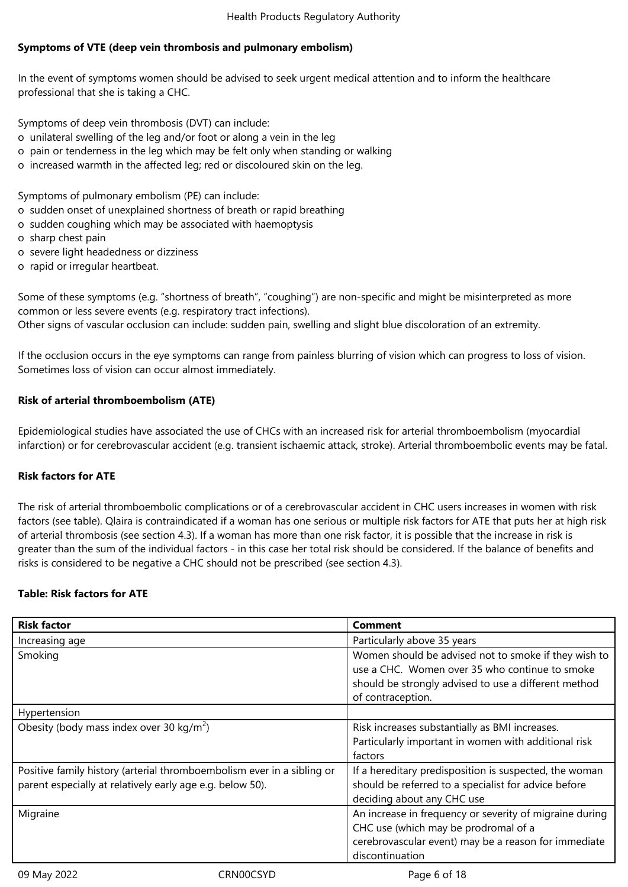# **Symptoms of VTE (deep vein thrombosis and pulmonary embolism)**

In the event of symptoms women should be advised to seek urgent medical attention and to inform the healthcare professional that she is taking a CHC.

Symptoms of deep vein thrombosis (DVT) can include:

- o unilateral swelling of the leg and/or foot or along a vein in the leg
- o pain or tenderness in the leg which may be felt only when standing or walking
- o increased warmth in the affected leg; red or discoloured skin on the leg.

Symptoms of pulmonary embolism (PE) can include:

- o sudden onset of unexplained shortness of breath or rapid breathing
- o sudden coughing which may be associated with haemoptysis
- o sharp chest pain
- o severe light headedness or dizziness
- o rapid or irregular heartbeat.

Some of these symptoms (e.g. "shortness of breath", "coughing") are non-specific and might be misinterpreted as more common or less severe events (e.g. respiratory tract infections). Other signs of vascular occlusion can include: sudden pain, swelling and slight blue discoloration of an extremity.

If the occlusion occurs in the eye symptoms can range from painless blurring of vision which can progress to loss of vision. Sometimes loss of vision can occur almost immediately.

## **Risk of arterial thromboembolism (ATE)**

Epidemiological studies have associated the use of CHCs with an increased risk for arterial thromboembolism (myocardial infarction) or for cerebrovascular accident (e.g. transient ischaemic attack, stroke). Arterial thromboembolic events may be fatal.

#### **Risk factors for ATE**

The risk of arterial thromboembolic complications or of a cerebrovascular accident in CHC users increases in women with risk factors (see table). Qlaira is contraindicated if a woman has one serious or multiple risk factors for ATE that puts her at high risk of arterial thrombosis (see section 4.3). If a woman has more than one risk factor, it is possible that the increase in risk is greater than the sum of the individual factors - in this case her total risk should be considered. If the balance of benefits and risks is considered to be negative a CHC should not be prescribed (see section 4.3).

# **Table: Risk factors for ATE**

| <b>Risk factor</b>                                                                                                                  |           | <b>Comment</b>                                                                                                                                                                      |
|-------------------------------------------------------------------------------------------------------------------------------------|-----------|-------------------------------------------------------------------------------------------------------------------------------------------------------------------------------------|
| Increasing age                                                                                                                      |           | Particularly above 35 years                                                                                                                                                         |
| Smoking                                                                                                                             |           | Women should be advised not to smoke if they wish to<br>use a CHC. Women over 35 who continue to smoke<br>should be strongly advised to use a different method<br>of contraception. |
| Hypertension                                                                                                                        |           |                                                                                                                                                                                     |
| Obesity (body mass index over 30 kg/m <sup>2</sup> )                                                                                |           | Risk increases substantially as BMI increases.<br>Particularly important in women with additional risk<br>factors                                                                   |
| Positive family history (arterial thromboembolism ever in a sibling or<br>parent especially at relatively early age e.g. below 50). |           | If a hereditary predisposition is suspected, the woman<br>should be referred to a specialist for advice before<br>deciding about any CHC use                                        |
| Migraine                                                                                                                            |           | An increase in frequency or severity of migraine during<br>CHC use (which may be prodromal of a<br>cerebrovascular event) may be a reason for immediate<br>discontinuation          |
| 09 May 2022                                                                                                                         | CRN00CSYD | Page 6 of 18                                                                                                                                                                        |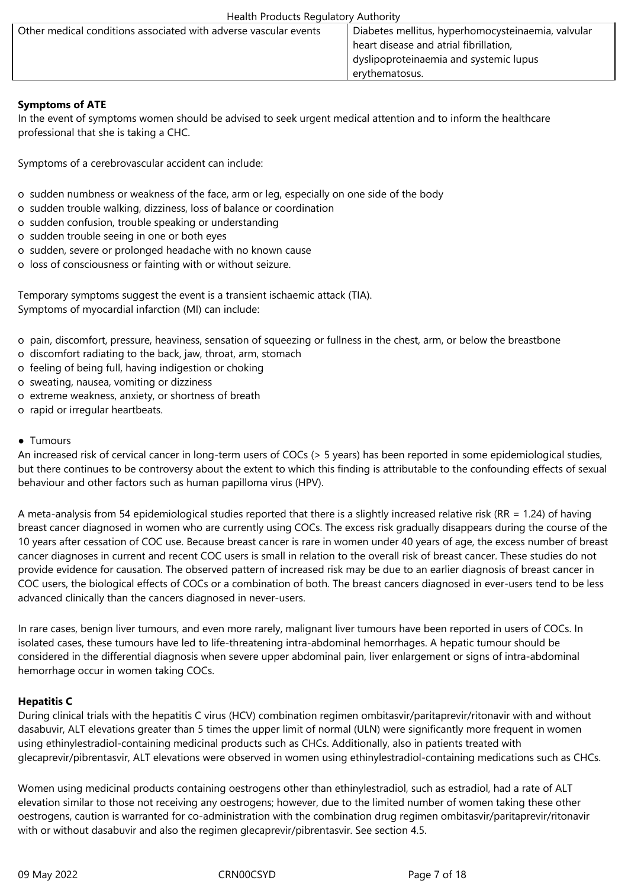| Other medical conditions associated with adverse vascular events | Diabetes mellitus, hyperhomocysteinaemia, valvular |
|------------------------------------------------------------------|----------------------------------------------------|
|                                                                  | heart disease and atrial fibrillation,             |
|                                                                  | dyslipoproteinaemia and systemic lupus             |
|                                                                  | ervthematosus.                                     |

# **Symptoms of ATE**

In the event of symptoms women should be advised to seek urgent medical attention and to inform the healthcare professional that she is taking a CHC.

Symptoms of a cerebrovascular accident can include:

- o sudden numbness or weakness of the face, arm or leg, especially on one side of the body
- o sudden trouble walking, dizziness, loss of balance or coordination
- o sudden confusion, trouble speaking or understanding
- o sudden trouble seeing in one or both eyes
- o sudden, severe or prolonged headache with no known cause
- o loss of consciousness or fainting with or without seizure.

Temporary symptoms suggest the event is a transient ischaemic attack (TIA). Symptoms of myocardial infarction (MI) can include:

- o pain, discomfort, pressure, heaviness, sensation of squeezing or fullness in the chest, arm, or below the breastbone
- o discomfort radiating to the back, jaw, throat, arm, stomach
- o feeling of being full, having indigestion or choking
- o sweating, nausea, vomiting or dizziness
- o extreme weakness, anxiety, or shortness of breath
- o rapid or irregular heartbeats.

## ● Tumours

An increased risk of cervical cancer in long-term users of COCs (> 5 years) has been reported in some epidemiological studies, but there continues to be controversy about the extent to which this finding is attributable to the confounding effects of sexual behaviour and other factors such as human papilloma virus (HPV).

A meta-analysis from 54 epidemiological studies reported that there is a slightly increased relative risk (RR = 1.24) of having breast cancer diagnosed in women who are currently using COCs. The excess risk gradually disappears during the course of the 10 years after cessation of COC use. Because breast cancer is rare in women under 40 years of age, the excess number of breast cancer diagnoses in current and recent COC users is small in relation to the overall risk of breast cancer. These studies do not provide evidence for causation. The observed pattern of increased risk may be due to an earlier diagnosis of breast cancer in COC users, the biological effects of COCs or a combination of both. The breast cancers diagnosed in ever-users tend to be less advanced clinically than the cancers diagnosed in never-users.

In rare cases, benign liver tumours, and even more rarely, malignant liver tumours have been reported in users of COCs. In isolated cases, these tumours have led to life-threatening intra-abdominal hemorrhages. A hepatic tumour should be considered in the differential diagnosis when severe upper abdominal pain, liver enlargement or signs of intra-abdominal hemorrhage occur in women taking COCs.

# **Hepatitis C**

During clinical trials with the hepatitis C virus (HCV) combination regimen ombitasvir/paritaprevir/ritonavir with and without dasabuvir, ALT elevations greater than 5 times the upper limit of normal (ULN) were significantly more frequent in women using ethinylestradiol-containing medicinal products such as CHCs. Additionally, also in patients treated with glecaprevir/pibrentasvir, ALT elevations were observed in women using ethinylestradiol-containing medications such as CHCs.

Women using medicinal products containing oestrogens other than ethinylestradiol, such as estradiol, had a rate of ALT elevation similar to those not receiving any oestrogens; however, due to the limited number of women taking these other oestrogens, caution is warranted for co-administration with the combination drug regimen ombitasvir/paritaprevir/ritonavir with or without dasabuvir and also the regimen glecaprevir/pibrentasvir. See section 4.5.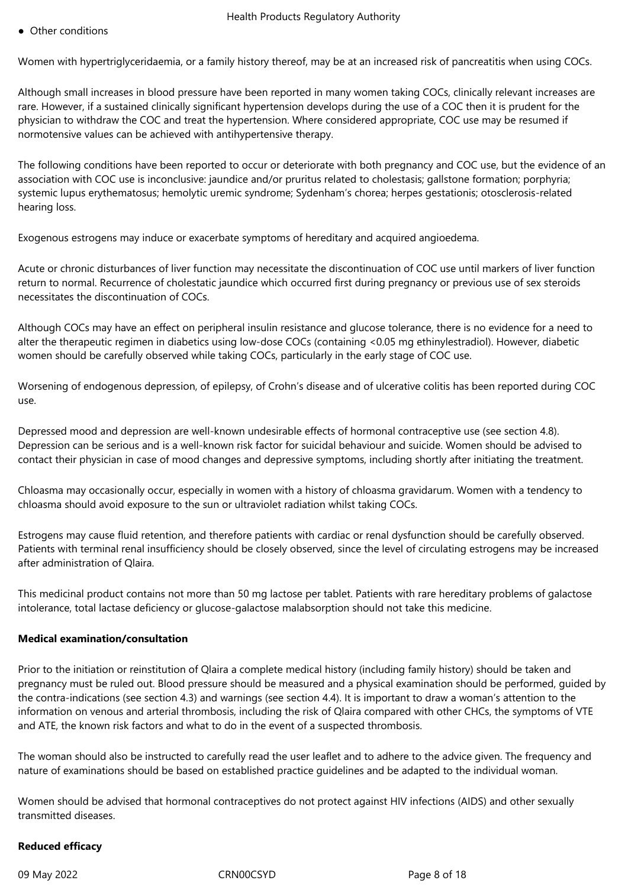● Other conditions

Women with hypertriglyceridaemia, or a family history thereof, may be at an increased risk of pancreatitis when using COCs.

Although small increases in blood pressure have been reported in many women taking COCs, clinically relevant increases are rare. However, if a sustained clinically significant hypertension develops during the use of a COC then it is prudent for the physician to withdraw the COC and treat the hypertension. Where considered appropriate, COC use may be resumed if normotensive values can be achieved with antihypertensive therapy.

The following conditions have been reported to occur or deteriorate with both pregnancy and COC use, but the evidence of an association with COC use is inconclusive: jaundice and/or pruritus related to cholestasis; gallstone formation; porphyria; systemic lupus erythematosus; hemolytic uremic syndrome; Sydenham's chorea; herpes gestationis; otosclerosis-related hearing loss.

Exogenous estrogens may induce or exacerbate symptoms of hereditary and acquired angioedema.

Acute or chronic disturbances of liver function may necessitate the discontinuation of COC use until markers of liver function return to normal. Recurrence of cholestatic jaundice which occurred first during pregnancy or previous use of sex steroids necessitates the discontinuation of COCs.

Although COCs may have an effect on peripheral insulin resistance and glucose tolerance, there is no evidence for a need to alter the therapeutic regimen in diabetics using low-dose COCs (containing <0.05 mg ethinylestradiol). However, diabetic women should be carefully observed while taking COCs, particularly in the early stage of COC use.

Worsening of endogenous depression, of epilepsy, of Crohn's disease and of ulcerative colitis has been reported during COC use.

Depressed mood and depression are well-known undesirable effects of hormonal contraceptive use (see section 4.8). Depression can be serious and is a well-known risk factor for suicidal behaviour and suicide. Women should be advised to contact their physician in case of mood changes and depressive symptoms, including shortly after initiating the treatment.

Chloasma may occasionally occur, especially in women with a history of chloasma gravidarum. Women with a tendency to chloasma should avoid exposure to the sun or ultraviolet radiation whilst taking COCs.

Estrogens may cause fluid retention, and therefore patients with cardiac or renal dysfunction should be carefully observed. Patients with terminal renal insufficiency should be closely observed, since the level of circulating estrogens may be increased after administration of Qlaira.

This medicinal product contains not more than 50 mg lactose per tablet. Patients with rare hereditary problems of galactose intolerance, total lactase deficiency or glucose-galactose malabsorption should not take this medicine.

# **Medical examination/consultation**

Prior to the initiation or reinstitution of Qlaira a complete medical history (including family history) should be taken and pregnancy must be ruled out. Blood pressure should be measured and a physical examination should be performed, guided by the contra-indications (see section 4.3) and warnings (see section 4.4). It is important to draw a woman's attention to the information on venous and arterial thrombosis, including the risk of Qlaira compared with other CHCs, the symptoms of VTE and ATE, the known risk factors and what to do in the event of a suspected thrombosis.

The woman should also be instructed to carefully read the user leaflet and to adhere to the advice given. The frequency and nature of examinations should be based on established practice guidelines and be adapted to the individual woman.

Women should be advised that hormonal contraceptives do not protect against HIV infections (AIDS) and other sexually transmitted diseases.

# **Reduced efficacy**

09 May 2022 CRN00CSYD Page 8 of 18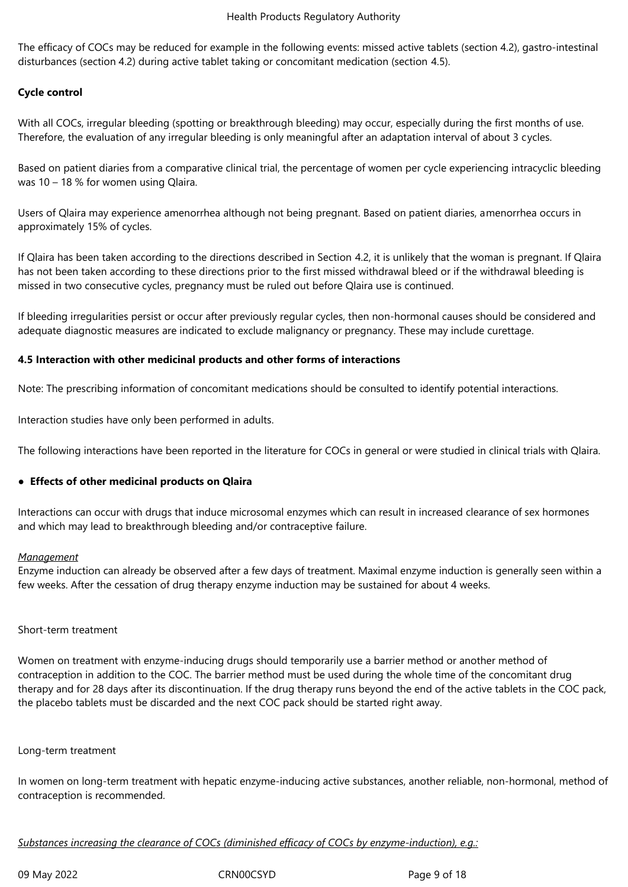The efficacy of COCs may be reduced for example in the following events: missed active tablets (section 4.2), gastro-intestinal disturbances (section 4.2) during active tablet taking or concomitant medication (section 4.5).

# **Cycle control**

With all COCs, irregular bleeding (spotting or breakthrough bleeding) may occur, especially during the first months of use. Therefore, the evaluation of any irregular bleeding is only meaningful after an adaptation interval of about 3 cycles.

Based on patient diaries from a comparative clinical trial, the percentage of women per cycle experiencing intracyclic bleeding was 10 – 18 % for women using Qlaira.

Users of Qlaira may experience amenorrhea although not being pregnant. Based on patient diaries, amenorrhea occurs in approximately 15% of cycles.

If Qlaira has been taken according to the directions described in Section 4.2, it is unlikely that the woman is pregnant. If Qlaira has not been taken according to these directions prior to the first missed withdrawal bleed or if the withdrawal bleeding is missed in two consecutive cycles, pregnancy must be ruled out before Qlaira use is continued.

If bleeding irregularities persist or occur after previously regular cycles, then non-hormonal causes should be considered and adequate diagnostic measures are indicated to exclude malignancy or pregnancy. These may include curettage.

#### **4.5 Interaction with other medicinal products and other forms of interactions**

Note: The prescribing information of concomitant medications should be consulted to identify potential interactions.

Interaction studies have only been performed in adults.

The following interactions have been reported in the literature for COCs in general or were studied in clinical trials with Qlaira.

#### ● **Effects of other medicinal products on Qlaira**

Interactions can occur with drugs that induce microsomal enzymes which can result in increased clearance of sex hormones and which may lead to breakthrough bleeding and/or contraceptive failure.

#### *Management*

Enzyme induction can already be observed after a few days of treatment. Maximal enzyme induction is generally seen within a few weeks. After the cessation of drug therapy enzyme induction may be sustained for about 4 weeks.

#### Short-term treatment

Women on treatment with enzyme-inducing drugs should temporarily use a barrier method or another method of contraception in addition to the COC. The barrier method must be used during the whole time of the concomitant drug therapy and for 28 days after its discontinuation. If the drug therapy runs beyond the end of the active tablets in the COC pack, the placebo tablets must be discarded and the next COC pack should be started right away.

#### Long-term treatment

In women on long-term treatment with hepatic enzyme-inducing active substances, another reliable, non-hormonal, method of contraception is recommended.

*Substances increasing the clearance of COCs (diminished efficacy of COCs by enzyme-induction), e.g.:*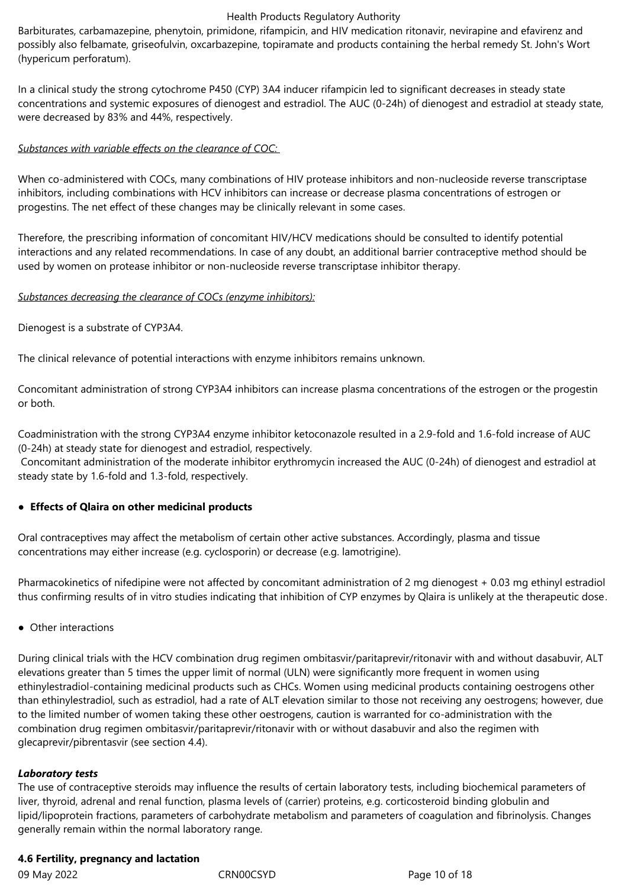Barbiturates, carbamazepine, phenytoin, primidone, rifampicin, and HIV medication ritonavir, nevirapine and efavirenz and possibly also felbamate, griseofulvin, oxcarbazepine, topiramate and products containing the herbal remedy St. John's Wort (hypericum perforatum).

In a clinical study the strong cytochrome P450 (CYP) 3A4 inducer rifampicin led to significant decreases in steady state concentrations and systemic exposures of dienogest and estradiol. The AUC (0-24h) of dienogest and estradiol at steady state, were decreased by 83% and 44%, respectively.

# *Substances with variable effects on the clearance of COC:*

When co-administered with COCs, many combinations of HIV protease inhibitors and non-nucleoside reverse transcriptase inhibitors, including combinations with HCV inhibitors can increase or decrease plasma concentrations of estrogen or progestins. The net effect of these changes may be clinically relevant in some cases.

Therefore, the prescribing information of concomitant HIV/HCV medications should be consulted to identify potential interactions and any related recommendations. In case of any doubt, an additional barrier contraceptive method should be used by women on protease inhibitor or non-nucleoside reverse transcriptase inhibitor therapy.

# *Substances decreasing the clearance of COCs (enzyme inhibitors):*

Dienogest is a substrate of CYP3A4.

The clinical relevance of potential interactions with enzyme inhibitors remains unknown.

Concomitant administration of strong CYP3A4 inhibitors can increase plasma concentrations of the estrogen or the progestin or both.

Coadministration with the strong CYP3A4 enzyme inhibitor ketoconazole resulted in a 2.9-fold and 1.6-fold increase of AUC (0-24h) at steady state for dienogest and estradiol, respectively.

 Concomitant administration of the moderate inhibitor erythromycin increased the AUC (0-24h) of dienogest and estradiol at steady state by 1.6-fold and 1.3-fold, respectively.

# **● Effects of Qlaira on other medicinal products**

Oral contraceptives may affect the metabolism of certain other active substances. Accordingly, plasma and tissue concentrations may either increase (e.g. cyclosporin) or decrease (e.g. lamotrigine).

Pharmacokinetics of nifedipine were not affected by concomitant administration of 2 mg dienogest + 0.03 mg ethinyl estradiol thus confirming results of in vitro studies indicating that inhibition of CYP enzymes by Qlaira is unlikely at the therapeutic dose.

● Other interactions

During clinical trials with the HCV combination drug regimen ombitasvir/paritaprevir/ritonavir with and without dasabuvir, ALT elevations greater than 5 times the upper limit of normal (ULN) were significantly more frequent in women using ethinylestradiol-containing medicinal products such as CHCs. Women using medicinal products containing oestrogens other than ethinylestradiol, such as estradiol, had a rate of ALT elevation similar to those not receiving any oestrogens; however, due to the limited number of women taking these other oestrogens, caution is warranted for co-administration with the combination drug regimen ombitasvir/paritaprevir/ritonavir with or without dasabuvir and also the regimen with glecaprevir/pibrentasvir (see section 4.4).

#### *Laboratory tests*

The use of contraceptive steroids may influence the results of certain laboratory tests, including biochemical parameters of liver, thyroid, adrenal and renal function, plasma levels of (carrier) proteins, e.g. corticosteroid binding globulin and lipid/lipoprotein fractions, parameters of carbohydrate metabolism and parameters of coagulation and fibrinolysis. Changes generally remain within the normal laboratory range.

# **4.6 Fertility, pregnancy and lactation**

09 May 2022 **CRNOOCSYD** CRNOOCSYD Page 10 of 18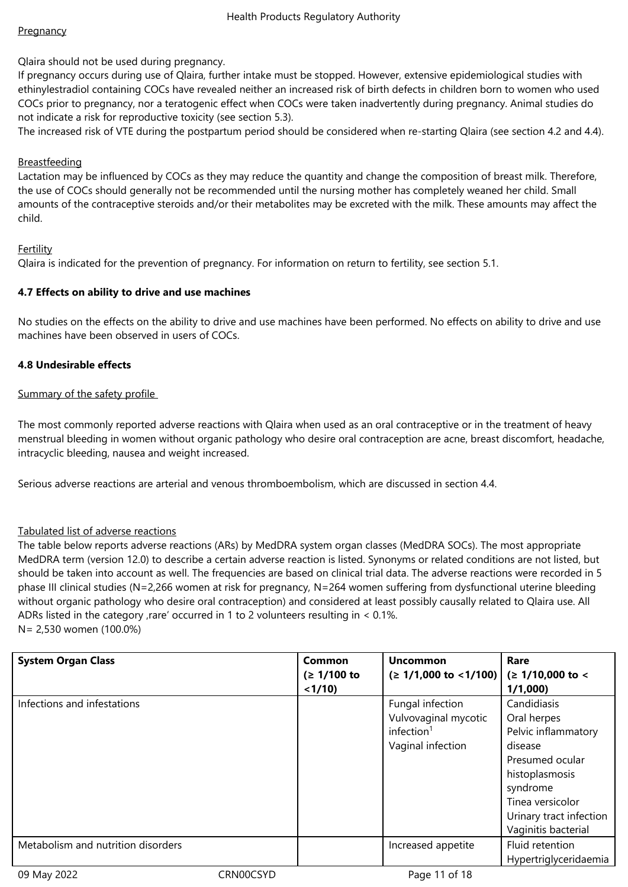Qlaira should not be used during pregnancy.

If pregnancy occurs during use of Qlaira, further intake must be stopped. However, extensive epidemiological studies with ethinylestradiol containing COCs have revealed neither an increased risk of birth defects in children born to women who used COCs prior to pregnancy, nor a teratogenic effect when COCs were taken inadvertently during pregnancy. Animal studies do not indicate a risk for reproductive toxicity (see section 5.3).

The increased risk of VTE during the postpartum period should be considered when re-starting Qlaira (see section 4.2 and 4.4).

# Breastfeeding

Lactation may be influenced by COCs as they may reduce the quantity and change the composition of breast milk. Therefore, the use of COCs should generally not be recommended until the nursing mother has completely weaned her child. Small amounts of the contraceptive steroids and/or their metabolites may be excreted with the milk. These amounts may affect the child.

## Fertility

Qlaira is indicated for the prevention of pregnancy. For information on return to fertility, see section 5.1.

## **4.7 Effects on ability to drive and use machines**

No studies on the effects on the ability to drive and use machines have been performed. No effects on ability to drive and use machines have been observed in users of COCs.

## **4.8 Undesirable effects**

## Summary of the safety profile

The most commonly reported adverse reactions with Qlaira when used as an oral contraceptive or in the treatment of heavy menstrual bleeding in women without organic pathology who desire oral contraception are acne, breast discomfort, headache, intracyclic bleeding, nausea and weight increased.

Serious adverse reactions are arterial and venous thromboembolism, which are discussed in section 4.4.

#### Tabulated list of adverse reactions

The table below reports adverse reactions (ARs) by MedDRA system organ classes (MedDRA SOCs). The most appropriate MedDRA term (version 12.0) to describe a certain adverse reaction is listed. Synonyms or related conditions are not listed, but should be taken into account as well. The frequencies are based on clinical trial data. The adverse reactions were recorded in 5 phase III clinical studies (N=2,266 women at risk for pregnancy, N=264 women suffering from dysfunctional uterine bleeding without organic pathology who desire oral contraception) and considered at least possibly causally related to Qlaira use. All ADRs listed in the category , rare' occurred in 1 to 2 volunteers resulting in  $< 0.1$ %. N= 2,530 women (100.0%)

**System Organ Class Common (≥ 1/100 to <1/10) Uncommon (≥ 1/1,000 to <1/100) Rare (≥ 1/10,000 to < 1/1,000)** Infections and infestations Fungal infection Fungal infection Vulvovaginal mycotic  $inflection<sup>1</sup>$ Vaginal infection Candidiasis Oral herpes Pelvic inflammatory disease Presumed ocular histoplasmosis syndrome Tinea versicolor Urinary tract infection Vaginitis bacterial Metabolism and nutrition disorders **Increased appetite** Thuid retention Hypertriglyceridaemia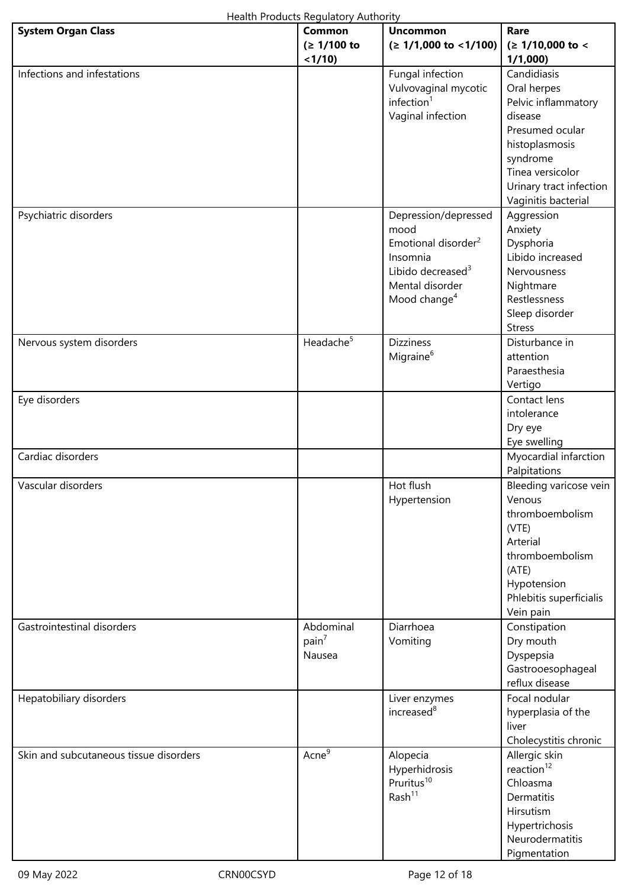| Health Products Regulatory Authority   |                                          |                                                                                                                                                             |                                                                                                                                                                                     |
|----------------------------------------|------------------------------------------|-------------------------------------------------------------------------------------------------------------------------------------------------------------|-------------------------------------------------------------------------------------------------------------------------------------------------------------------------------------|
| <b>System Organ Class</b>              | Common<br>(≥ 1/100 to<br>< 1/10          | <b>Uncommon</b><br>$( \geq 1/1,000 \text{ to } < 1/100 )$                                                                                                   | Rare<br>$( \geq 1/10,000$ to <<br>1/1,000                                                                                                                                           |
| Infections and infestations            |                                          | Fungal infection<br>Vulvovaginal mycotic<br>inflection <sup>1</sup><br>Vaginal infection                                                                    | Candidiasis<br>Oral herpes<br>Pelvic inflammatory<br>disease<br>Presumed ocular<br>histoplasmosis<br>syndrome<br>Tinea versicolor<br>Urinary tract infection<br>Vaginitis bacterial |
| Psychiatric disorders                  |                                          | Depression/depressed<br>mood<br>Emotional disorder <sup>2</sup><br>Insomnia<br>Libido decreased <sup>3</sup><br>Mental disorder<br>Mood change <sup>4</sup> | Aggression<br>Anxiety<br>Dysphoria<br>Libido increased<br>Nervousness<br>Nightmare<br>Restlessness<br>Sleep disorder<br><b>Stress</b>                                               |
| Nervous system disorders               | Headache <sup>5</sup>                    | <b>Dizziness</b><br>Migraine <sup>6</sup>                                                                                                                   | Disturbance in<br>attention<br>Paraesthesia<br>Vertigo                                                                                                                              |
| Eye disorders                          |                                          |                                                                                                                                                             | Contact lens<br>intolerance<br>Dry eye<br>Eye swelling                                                                                                                              |
| Cardiac disorders                      |                                          |                                                                                                                                                             | Myocardial infarction<br>Palpitations                                                                                                                                               |
| Vascular disorders                     |                                          | Hot flush<br>Hypertension                                                                                                                                   | Bleeding varicose vein<br>Venous<br>thromboembolism<br>(VTE)<br>Arterial<br>thromboembolism<br>(ATE)<br>Hypotension<br>Phlebitis superficialis<br>Vein pain                         |
| Gastrointestinal disorders             | Abdominal<br>pain <sup>7</sup><br>Nausea | Diarrhoea<br>Vomiting                                                                                                                                       | Constipation<br>Dry mouth<br>Dyspepsia<br>Gastrooesophageal<br>reflux disease                                                                                                       |
| Hepatobiliary disorders                |                                          | Liver enzymes<br>increased <sup>8</sup>                                                                                                                     | Focal nodular<br>hyperplasia of the<br>liver<br>Cholecystitis chronic                                                                                                               |
| Skin and subcutaneous tissue disorders | Acne <sup>9</sup>                        | Alopecia<br>Hyperhidrosis<br>Pruritus <sup>10</sup><br>Rash <sup>11</sup>                                                                                   | Allergic skin<br>reaction $12$<br>Chloasma<br>Dermatitis<br>Hirsutism<br>Hypertrichosis<br>Neurodermatitis<br>Pigmentation                                                          |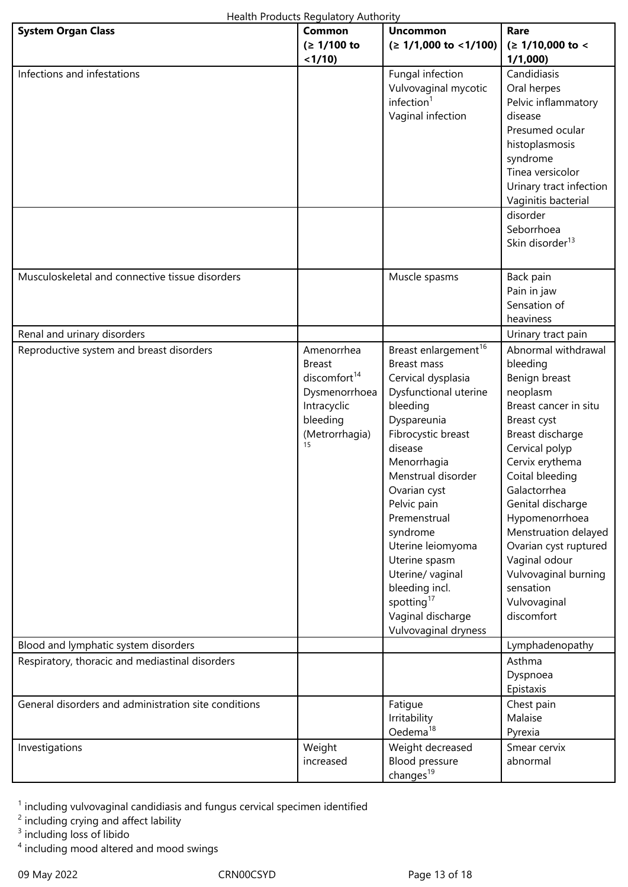| Health Products Regulatory Authority |
|--------------------------------------|
|--------------------------------------|

|                                                      | Health Floudcts Regulatory Authority                                                                                        |                                                                                                                                                                                                                                                                                                                                                                                                               |                                                                                                                                                                                                                                                                                                                                                                              |
|------------------------------------------------------|-----------------------------------------------------------------------------------------------------------------------------|---------------------------------------------------------------------------------------------------------------------------------------------------------------------------------------------------------------------------------------------------------------------------------------------------------------------------------------------------------------------------------------------------------------|------------------------------------------------------------------------------------------------------------------------------------------------------------------------------------------------------------------------------------------------------------------------------------------------------------------------------------------------------------------------------|
| <b>System Organ Class</b>                            | Common<br>(≥ 1/100 to<br>< 1/10                                                                                             | <b>Uncommon</b><br>$( \geq 1/1,000 \text{ to } < 1/100 )$                                                                                                                                                                                                                                                                                                                                                     | Rare<br>(≥ 1/10,000 to <<br>1/1,000                                                                                                                                                                                                                                                                                                                                          |
| Infections and infestations                          |                                                                                                                             | Fungal infection<br>Vulvovaginal mycotic<br>infection <sup>1</sup><br>Vaginal infection                                                                                                                                                                                                                                                                                                                       | Candidiasis<br>Oral herpes<br>Pelvic inflammatory<br>disease<br>Presumed ocular<br>histoplasmosis<br>syndrome<br>Tinea versicolor<br>Urinary tract infection<br>Vaginitis bacterial<br>disorder<br>Seborrhoea                                                                                                                                                                |
|                                                      |                                                                                                                             |                                                                                                                                                                                                                                                                                                                                                                                                               | Skin disorder <sup>13</sup>                                                                                                                                                                                                                                                                                                                                                  |
| Musculoskeletal and connective tissue disorders      |                                                                                                                             | Muscle spasms                                                                                                                                                                                                                                                                                                                                                                                                 | Back pain<br>Pain in jaw<br>Sensation of<br>heaviness                                                                                                                                                                                                                                                                                                                        |
| Renal and urinary disorders                          |                                                                                                                             |                                                                                                                                                                                                                                                                                                                                                                                                               | Urinary tract pain                                                                                                                                                                                                                                                                                                                                                           |
| Reproductive system and breast disorders             | Amenorrhea<br><b>Breast</b><br>discomfort <sup>14</sup><br>Dysmenorrhoea<br>Intracyclic<br>bleeding<br>(Metrorrhagia)<br>15 | Breast enlargement <sup>16</sup><br>Breast mass<br>Cervical dysplasia<br>Dysfunctional uterine<br>bleeding<br>Dyspareunia<br>Fibrocystic breast<br>disease<br>Menorrhagia<br>Menstrual disorder<br>Ovarian cyst<br>Pelvic pain<br>Premenstrual<br>syndrome<br>Uterine leiomyoma<br>Uterine spasm<br>Uterine/ vaginal<br>bleeding incl.<br>spotting <sup>17</sup><br>Vaginal discharge<br>Vulvovaginal dryness | Abnormal withdrawal<br>bleeding<br>Benign breast<br>neoplasm<br>Breast cancer in situ<br>Breast cyst<br>Breast discharge<br>Cervical polyp<br>Cervix erythema<br>Coital bleeding<br>Galactorrhea<br>Genital discharge<br>Hypomenorrhoea<br>Menstruation delayed<br>Ovarian cyst ruptured<br>Vaginal odour<br>Vulvovaginal burning<br>sensation<br>Vulvovaginal<br>discomfort |
| Blood and lymphatic system disorders                 |                                                                                                                             |                                                                                                                                                                                                                                                                                                                                                                                                               | Lymphadenopathy                                                                                                                                                                                                                                                                                                                                                              |
| Respiratory, thoracic and mediastinal disorders      |                                                                                                                             |                                                                                                                                                                                                                                                                                                                                                                                                               | Asthma<br>Dyspnoea<br>Epistaxis                                                                                                                                                                                                                                                                                                                                              |
| General disorders and administration site conditions |                                                                                                                             | Fatigue<br>Irritability<br>Oedema <sup>18</sup>                                                                                                                                                                                                                                                                                                                                                               | Chest pain<br>Malaise<br>Pyrexia                                                                                                                                                                                                                                                                                                                                             |
| Investigations                                       | Weight<br>increased                                                                                                         | Weight decreased<br>Blood pressure<br>changes <sup>19</sup>                                                                                                                                                                                                                                                                                                                                                   | Smear cervix<br>abnormal                                                                                                                                                                                                                                                                                                                                                     |

<sup>1</sup> including vulvovaginal candidiasis and fungus cervical specimen identified

 $2$  including crying and affect lability

<sup>3</sup> including loss of libido

<sup>4</sup> including mood altered and mood swings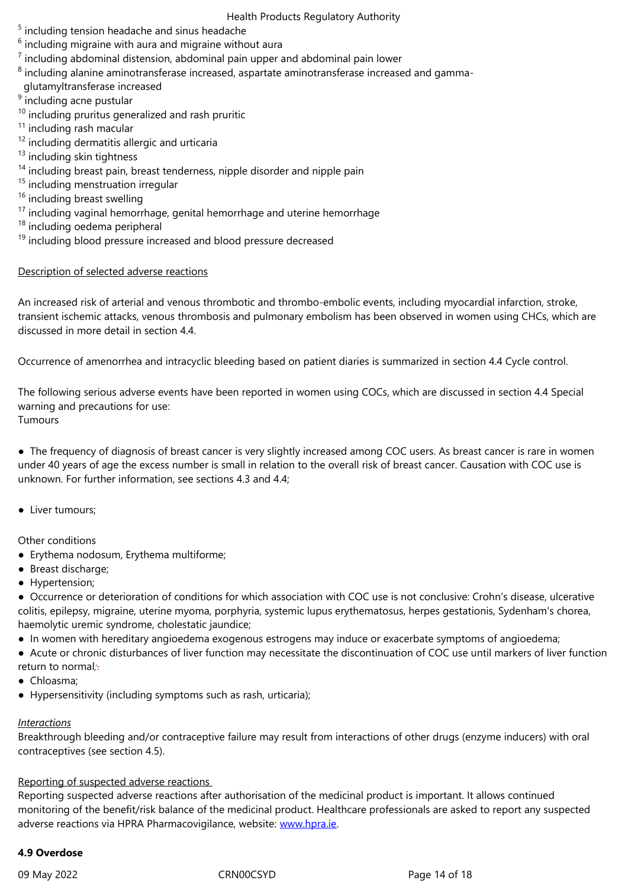- 7 including abdominal distension, abdominal pain upper and abdominal pain lower
- $^{\rm 8}$  including alanine aminotransferase increased, aspartate aminotransferase increased and gamma-
- glutamyltransferase increased
- <sup>9</sup> including acne pustular
- $10$  including pruritus generalized and rash pruritic
- <sup>11</sup> including rash macular
- <sup>12</sup> including dermatitis allergic and urticaria
- $13$  including skin tightness
- $14$  including breast pain, breast tenderness, nipple disorder and nipple pain
- <sup>15</sup> including menstruation irregular
- <sup>16</sup> including breast swelling
- $17$  including vaginal hemorrhage, genital hemorrhage and uterine hemorrhage
- <sup>18</sup> including oedema peripheral
- $19$  including blood pressure increased and blood pressure decreased

# Description of selected adverse reactions

An increased risk of arterial and venous thrombotic and thrombo-embolic events, including myocardial infarction, stroke, transient ischemic attacks, venous thrombosis and pulmonary embolism has been observed in women using CHCs, which are discussed in more detail in section 4.4.

Occurrence of amenorrhea and intracyclic bleeding based on patient diaries is summarized in section 4.4 Cycle control.

The following serious adverse events have been reported in women using COCs, which are discussed in section 4.4 Special warning and precautions for use: **Tumours** 

● The frequency of diagnosis of breast cancer is very slightly increased among COC users. As breast cancer is rare in women under 40 years of age the excess number is small in relation to the overall risk of breast cancer. Causation with COC use is unknown. For further information, see sections 4.3 and 4.4;

• Liver tumours:

Other conditions

- Erythema nodosum, Erythema multiforme;
- Breast discharge;
- Hypertension;

● Occurrence or deterioration of conditions for which association with COC use is not conclusive: Crohn's disease, ulcerative colitis, epilepsy, migraine, uterine myoma, porphyria, systemic lupus erythematosus, herpes gestationis, Sydenham's chorea, haemolytic uremic syndrome, cholestatic jaundice;

● In women with hereditary angioedema exogenous estrogens may induce or exacerbate symptoms of angioedema;

● Acute or chronic disturbances of liver function may necessitate the discontinuation of COC use until markers of liver function return to normal*;*.

- Chloasma;
- Hypersensitivity (including symptoms such as rash, urticaria);

# *Interactions*

Breakthrough bleeding and/or contraceptive failure may result from interactions of other drugs (enzyme inducers) with oral contraceptives (see section 4.5).

# Reporting of suspected adverse reactions

Reporting suspected adverse reactions after authorisation of the medicinal product is important. It allows continued monitoring of the benefit/risk balance of the medicinal product. Healthcare professionals are asked to report any suspected adverse reactions via HPRA Pharmacovigilance, website: www.hpra.ie.

# **4.9 Overdose**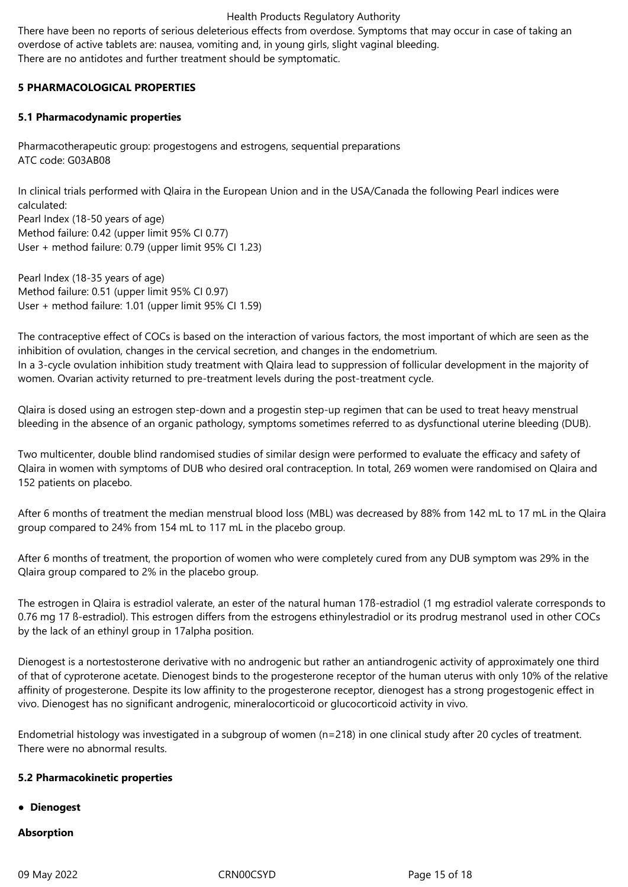There have been no reports of serious deleterious effects from overdose. Symptoms that may occur in case of taking an overdose of active tablets are: nausea, vomiting and, in young girls, slight vaginal bleeding. There are no antidotes and further treatment should be symptomatic.

# **5 PHARMACOLOGICAL PROPERTIES**

# **5.1 Pharmacodynamic properties**

Pharmacotherapeutic group: progestogens and estrogens, sequential preparations ATC code: G03AB08

In clinical trials performed with Qlaira in the European Union and in the USA/Canada the following Pearl indices were calculated:

Pearl Index (18-50 years of age) Method failure: 0.42 (upper limit 95% CI 0.77) User + method failure: 0.79 (upper limit 95% CI 1.23)

Pearl Index (18-35 years of age) Method failure: 0.51 (upper limit 95% CI 0.97) User + method failure: 1.01 (upper limit 95% CI 1.59)

The contraceptive effect of COCs is based on the interaction of various factors, the most important of which are seen as the inhibition of ovulation, changes in the cervical secretion, and changes in the endometrium. In a 3-cycle ovulation inhibition study treatment with Qlaira lead to suppression of follicular development in the majority of women. Ovarian activity returned to pre-treatment levels during the post-treatment cycle.

Qlaira is dosed using an estrogen step-down and a progestin step-up regimen that can be used to treat heavy menstrual bleeding in the absence of an organic pathology, symptoms sometimes referred to as dysfunctional uterine bleeding (DUB).

Two multicenter, double blind randomised studies of similar design were performed to evaluate the efficacy and safety of Qlaira in women with symptoms of DUB who desired oral contraception. In total, 269 women were randomised on Qlaira and 152 patients on placebo.

After 6 months of treatment the median menstrual blood loss (MBL) was decreased by 88% from 142 mL to 17 mL in the Qlaira group compared to 24% from 154 mL to 117 mL in the placebo group.

After 6 months of treatment, the proportion of women who were completely cured from any DUB symptom was 29% in the Qlaira group compared to 2% in the placebo group.

The estrogen in Qlaira is estradiol valerate, an ester of the natural human 17ß-estradiol (1 mg estradiol valerate corresponds to 0.76 mg 17 ß-estradiol). This estrogen differs from the estrogens ethinylestradiol or its prodrug mestranol used in other COCs by the lack of an ethinyl group in 17alpha position.

Dienogest is a nortestosterone derivative with no androgenic but rather an antiandrogenic activity of approximately one third of that of cyproterone acetate. Dienogest binds to the progesterone receptor of the human uterus with only 10% of the relative affinity of progesterone. Despite its low affinity to the progesterone receptor, dienogest has a strong progestogenic effect in vivo. Dienogest has no significant androgenic, mineralocorticoid or glucocorticoid activity in vivo.

Endometrial histology was investigated in a subgroup of women (n=218) in one clinical study after 20 cycles of treatment. There were no abnormal results.

#### **5.2 Pharmacokinetic properties**

#### **● Dienogest**

#### **Absorption**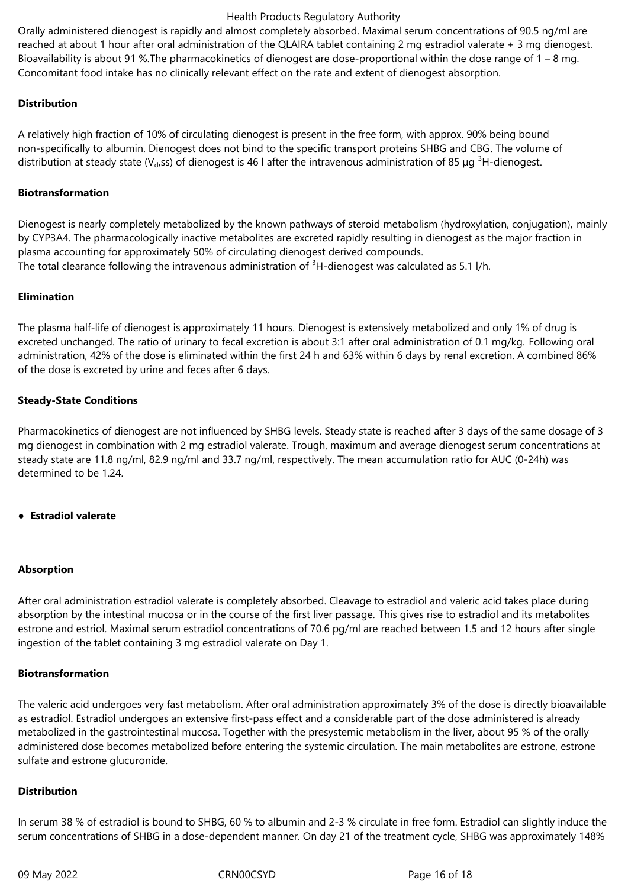Orally administered dienogest is rapidly and almost completely absorbed. Maximal serum concentrations of 90.5 ng/ml are reached at about 1 hour after oral administration of the QLAIRA tablet containing 2 mg estradiol valerate + 3 mg dienogest. Bioavailability is about 91 %.The pharmacokinetics of dienogest are dose-proportional within the dose range of 1 – 8 mg. Concomitant food intake has no clinically relevant effect on the rate and extent of dienogest absorption.

## **Distribution**

A relatively high fraction of 10% of circulating dienogest is present in the free form, with approx. 90% being bound non-specifically to albumin. Dienogest does not bind to the specific transport proteins SHBG and CBG. The volume of distribution at steady state ( $V<sub>ds</sub>$ ss) of dienogest is 46 l after the intravenous administration of 85 µg <sup>3</sup>H-dienogest.

#### **Biotransformation**

Dienogest is nearly completely metabolized by the known pathways of steroid metabolism (hydroxylation, conjugation), mainly by CYP3A4. The pharmacologically inactive metabolites are excreted rapidly resulting in dienogest as the major fraction in plasma accounting for approximately 50% of circulating dienogest derived compounds. The total clearance following the intravenous administration of <sup>3</sup>H-dienogest was calculated as 5.1 l/h.

## **Elimination**

The plasma half-life of dienogest is approximately 11 hours. Dienogest is extensively metabolized and only 1% of drug is excreted unchanged. The ratio of urinary to fecal excretion is about 3:1 after oral administration of 0.1 mg/kg. Following oral administration, 42% of the dose is eliminated within the first 24 h and 63% within 6 days by renal excretion. A combined 86% of the dose is excreted by urine and feces after 6 days.

## **Steady-State Conditions**

Pharmacokinetics of dienogest are not influenced by SHBG levels. Steady state is reached after 3 days of the same dosage of 3 mg dienogest in combination with 2 mg estradiol valerate. Trough, maximum and average dienogest serum concentrations at steady state are 11.8 ng/ml, 82.9 ng/ml and 33.7 ng/ml, respectively. The mean accumulation ratio for AUC (0-24h) was determined to be 1.24.

#### **● Estradiol valerate**

#### **Absorption**

After oral administration estradiol valerate is completely absorbed. Cleavage to estradiol and valeric acid takes place during absorption by the intestinal mucosa or in the course of the first liver passage. This gives rise to estradiol and its metabolites estrone and estriol. Maximal serum estradiol concentrations of 70.6 pg/ml are reached between 1.5 and 12 hours after single ingestion of the tablet containing 3 mg estradiol valerate on Day 1.

#### **Biotransformation**

The valeric acid undergoes very fast metabolism. After oral administration approximately 3% of the dose is directly bioavailable as estradiol. Estradiol undergoes an extensive first-pass effect and a considerable part of the dose administered is already metabolized in the gastrointestinal mucosa. Together with the presystemic metabolism in the liver, about 95 % of the orally administered dose becomes metabolized before entering the systemic circulation. The main metabolites are estrone, estrone sulfate and estrone glucuronide.

#### **Distribution**

In serum 38 % of estradiol is bound to SHBG, 60 % to albumin and 2-3 % circulate in free form. Estradiol can slightly induce the serum concentrations of SHBG in a dose-dependent manner. On day 21 of the treatment cycle, SHBG was approximately 148%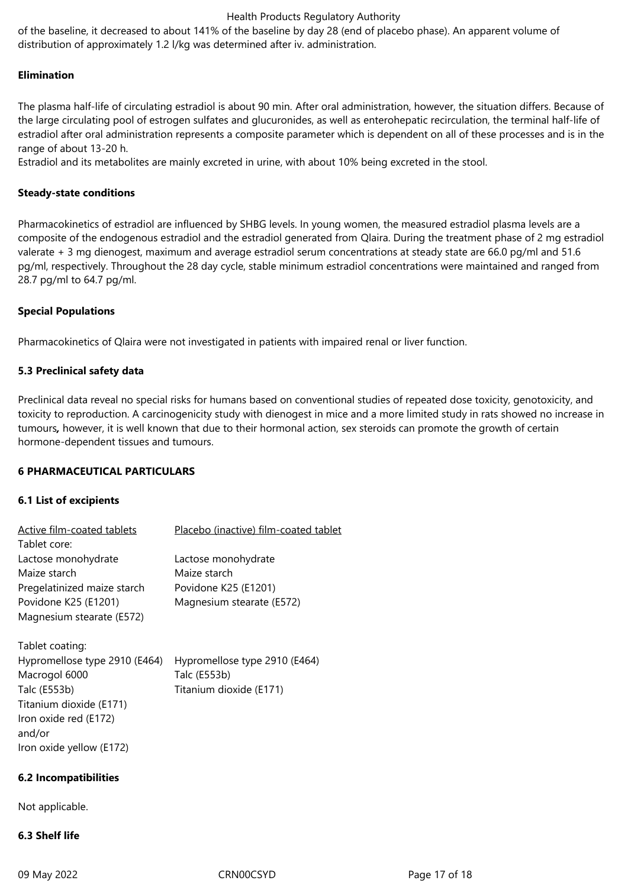of the baseline, it decreased to about 141% of the baseline by day 28 (end of placebo phase). An apparent volume of distribution of approximately 1.2 l/kg was determined after iv. administration.

#### **Elimination**

The plasma half-life of circulating estradiol is about 90 min. After oral administration, however, the situation differs. Because of the large circulating pool of estrogen sulfates and glucuronides, as well as enterohepatic recirculation, the terminal half-life of estradiol after oral administration represents a composite parameter which is dependent on all of these processes and is in the range of about 13-20 h.

Estradiol and its metabolites are mainly excreted in urine, with about 10% being excreted in the stool.

#### **Steady-state conditions**

Pharmacokinetics of estradiol are influenced by SHBG levels. In young women, the measured estradiol plasma levels are a composite of the endogenous estradiol and the estradiol generated from Qlaira. During the treatment phase of 2 mg estradiol valerate + 3 mg dienogest, maximum and average estradiol serum concentrations at steady state are 66.0 pg/ml and 51.6 pg/ml, respectively. Throughout the 28 day cycle, stable minimum estradiol concentrations were maintained and ranged from 28.7 pg/ml to 64.7 pg/ml.

#### **Special Populations**

Pharmacokinetics of Qlaira were not investigated in patients with impaired renal or liver function.

#### **5.3 Preclinical safety data**

Preclinical data reveal no special risks for humans based on conventional studies of repeated dose toxicity, genotoxicity, and toxicity to reproduction. A carcinogenicity study with dienogest in mice and a more limited study in rats showed no increase in tumours*,* however, it is well known that due to their hormonal action, sex steroids can promote the growth of certain hormone-dependent tissues and tumours.

#### **6 PHARMACEUTICAL PARTICULARS**

#### **6.1 List of excipients**

| Active film-coated tablets<br>Tablet core:                                                                                                                                  | Placebo (inactive) film-coated tablet                                                    |
|-----------------------------------------------------------------------------------------------------------------------------------------------------------------------------|------------------------------------------------------------------------------------------|
| Lactose monohydrate<br>Maize starch<br>Pregelatinized maize starch<br>Povidone K25 (E1201)<br>Magnesium stearate (E572)                                                     | Lactose monohydrate<br>Maize starch<br>Povidone K25 (E1201)<br>Magnesium stearate (E572) |
| Tablet coating:<br>Hypromellose type 2910 (E464)<br>Macrogol 6000<br>Talc (E553b)<br>Titanium dioxide (E171)<br>Iron oxide red (E172)<br>and/or<br>Iron oxide yellow (E172) | Hypromellose type 2910 (E464)<br>Talc (E553b)<br>Titanium dioxide (E171)                 |
| <b>6.2 Incompatibilities</b>                                                                                                                                                |                                                                                          |

Not applicable.

# **6.3 Shelf life**